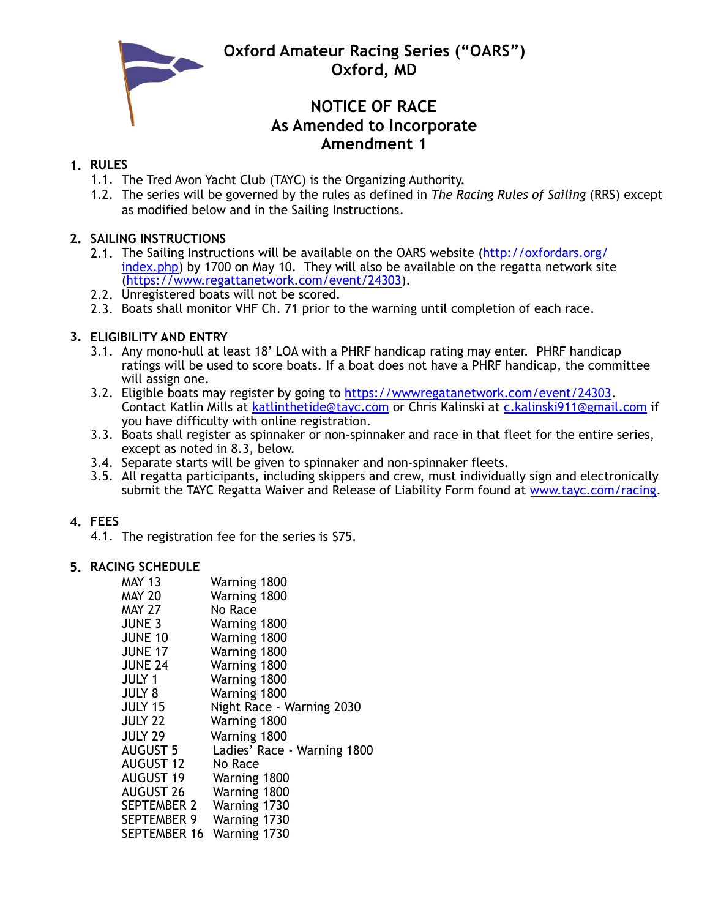**Oxford Amateur Racing Series ("OARS") Oxford, MD**



# **NOTICE OF RACE As Amended to Incorporate Amendment 1**

## **1. RULES**

- 1.1. The Tred Avon Yacht Club (TAYC) is the Organizing Authority.
- 1.2. The series will be governed by the rules as defined in *The Racing Rules of Sailing* (RRS) except as modified below and in the Sailing Instructions.

# **2. SAILING INSTRUCTIONS**

- 2.1. The Sailing Instructions will be available on the OARS website (http://oxfordars.org/ [index.php\) by 1700 on May 10. They will also be available on the regatta network sit](http://oxfordars.org/index.php)e [\(https://www.regattanetwork.com/event/24303\)](https://www.regattanetwork.com/event/24303).
- 2.2. Unregistered boats will not be scored.
- 2.3. Boats shall monitor VHF Ch. 71 prior to the warning until completion of each race.

# **3. ELIGIBILITY AND ENTRY**

- 3.1. Any mono-hull at least 18' LOA with a PHRF handicap rating may enter. PHRF handicap ratings will be used to score boats. If a boat does not have a PHRF handicap, the committee will assign one.
- 3.2. Eligible boats may register by going to [https://wwwregatanetwork.com/event/24303.](https://wwwregatanetwork.com/event/24303) Contact Katlin Mills at [katlinthetide@tayc.com](mailto:katlinthetide@tayc.com) or Chris Kalinski at [c.kalinski911@gmail.com](mailto:c.kalinski911@gmail.com) if you have difficulty with online registration.
- 3.3. Boats shall register as spinnaker or non-spinnaker and race in that fleet for the entire series, except as noted in 8.3, below.
- 3.4. Separate starts will be given to spinnaker and non-spinnaker fleets.
- 3.5. All regatta participants, including skippers and crew, must individually sign and electronically submit the TAYC Regatta Waiver and Release of Liability Form found at [www.tayc.com/racing](http://www.tayc.com/racing).

# **4. FEES**

4.1. The registration fee for the series is \$75.

### **5. RACING SCHEDULE**

| <b>MAY 13</b><br><b>MAY 20</b> | Warning 1800<br>Warning 1800 |
|--------------------------------|------------------------------|
| <b>MAY 27</b>                  | No Race                      |
| <b>JUNE 3</b>                  | Warning 1800                 |
| <b>JUNE 10</b>                 | Warning 1800                 |
| <b>JUNE 17</b>                 | Warning 1800                 |
| <b>JUNE 24</b>                 | Warning 1800                 |
| <b>JULY 1</b>                  | Warning 1800                 |
| <b>JULY 8</b>                  | Warning 1800                 |
| <b>JULY 15</b>                 | Night Race - Warning 2030    |
| <b>JULY 22</b>                 | Warning 1800                 |
| <b>JULY 29</b>                 | Warning 1800                 |
| <b>AUGUST 5</b>                | Ladies' Race - Warning 1800  |
| AUGUST 12                      | No Race                      |
| <b>AUGUST 19</b>               | Warning 1800                 |
| <b>AUGUST 26</b>               | Warning 1800                 |
| SEPTEMBER 2                    | Warning 1730                 |
| <b>SEPTEMBER 9</b>             | Warning 1730                 |
| SEPTEMBER 16                   | Warning 1730                 |